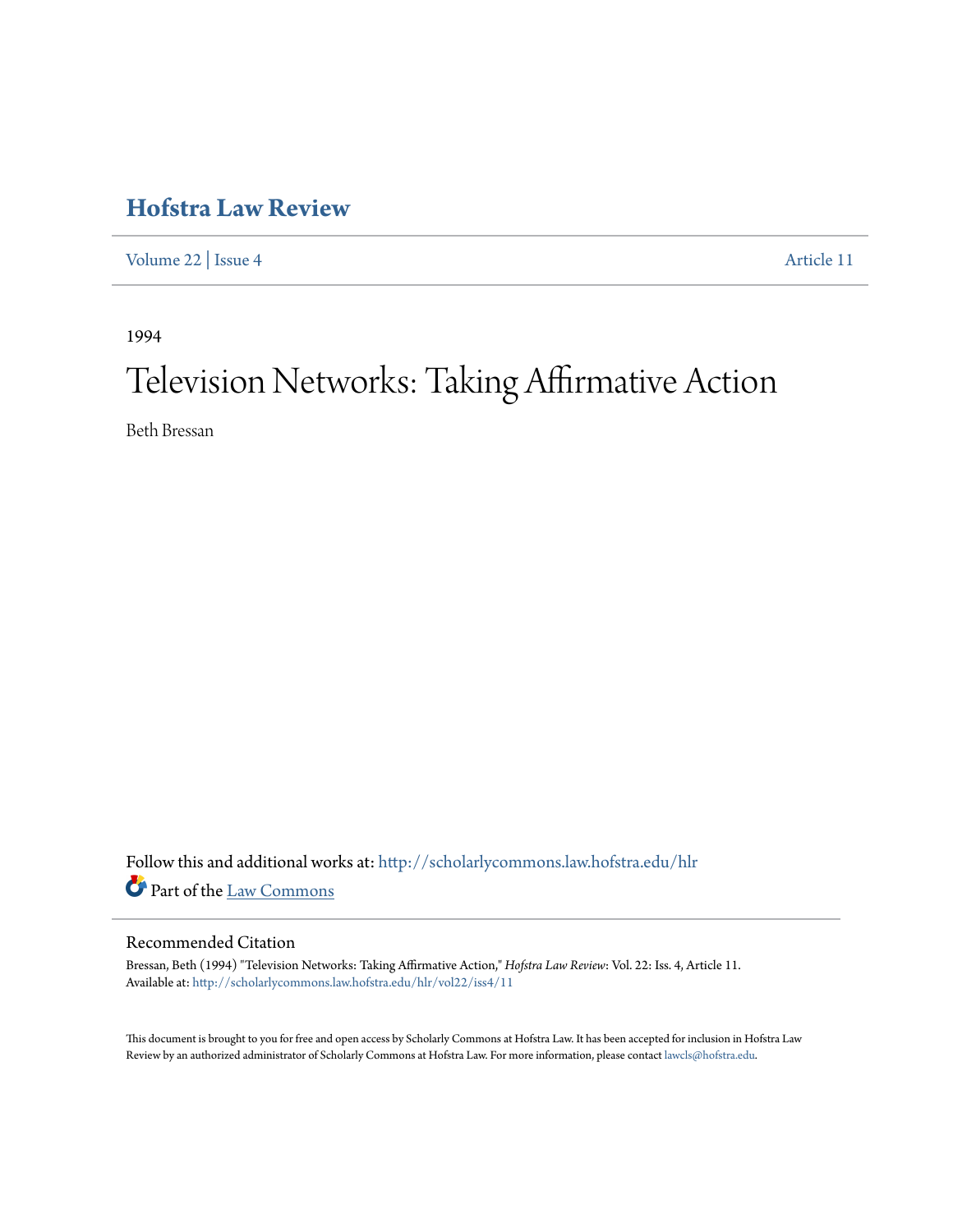## **[Hofstra Law Review](http://scholarlycommons.law.hofstra.edu/hlr?utm_source=scholarlycommons.law.hofstra.edu%2Fhlr%2Fvol22%2Fiss4%2F11&utm_medium=PDF&utm_campaign=PDFCoverPages)**

[Volume 22](http://scholarlycommons.law.hofstra.edu/hlr/vol22?utm_source=scholarlycommons.law.hofstra.edu%2Fhlr%2Fvol22%2Fiss4%2F11&utm_medium=PDF&utm_campaign=PDFCoverPages) | [Issue 4](http://scholarlycommons.law.hofstra.edu/hlr/vol22/iss4?utm_source=scholarlycommons.law.hofstra.edu%2Fhlr%2Fvol22%2Fiss4%2F11&utm_medium=PDF&utm_campaign=PDFCoverPages) [Article 11](http://scholarlycommons.law.hofstra.edu/hlr/vol22/iss4/11?utm_source=scholarlycommons.law.hofstra.edu%2Fhlr%2Fvol22%2Fiss4%2F11&utm_medium=PDF&utm_campaign=PDFCoverPages)

1994

# Television Networks: Taking Affirmative Action

Beth Bressan

Follow this and additional works at: [http://scholarlycommons.law.hofstra.edu/hlr](http://scholarlycommons.law.hofstra.edu/hlr?utm_source=scholarlycommons.law.hofstra.edu%2Fhlr%2Fvol22%2Fiss4%2F11&utm_medium=PDF&utm_campaign=PDFCoverPages) Part of the [Law Commons](http://network.bepress.com/hgg/discipline/578?utm_source=scholarlycommons.law.hofstra.edu%2Fhlr%2Fvol22%2Fiss4%2F11&utm_medium=PDF&utm_campaign=PDFCoverPages)

#### Recommended Citation

Bressan, Beth (1994) "Television Networks: Taking Affirmative Action," *Hofstra Law Review*: Vol. 22: Iss. 4, Article 11. Available at: [http://scholarlycommons.law.hofstra.edu/hlr/vol22/iss4/11](http://scholarlycommons.law.hofstra.edu/hlr/vol22/iss4/11?utm_source=scholarlycommons.law.hofstra.edu%2Fhlr%2Fvol22%2Fiss4%2F11&utm_medium=PDF&utm_campaign=PDFCoverPages)

This document is brought to you for free and open access by Scholarly Commons at Hofstra Law. It has been accepted for inclusion in Hofstra Law Review by an authorized administrator of Scholarly Commons at Hofstra Law. For more information, please contact [lawcls@hofstra.edu](mailto:lawcls@hofstra.edu).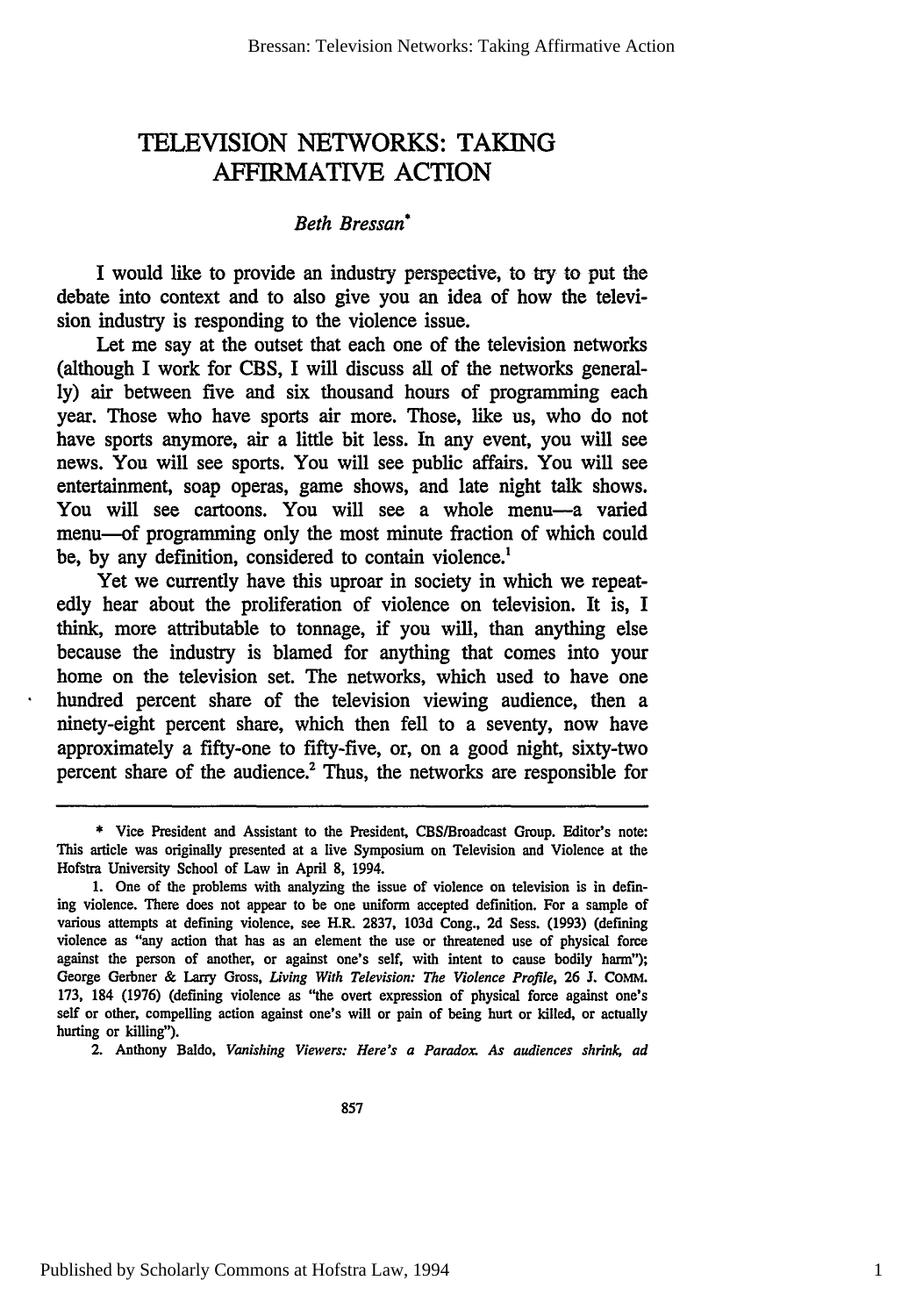### TELEVISION NETWORKS: TAKING AFFIRMATIVE ACTION

#### *Beth Bressan\**

I would like to provide an industry perspective, to try to put the debate into context and to also give you an idea of how the television industry is responding to the violence issue.

Let me say at the outset that each one of the television networks (although I work for CBS, I will discuss all of the networks generally) air between five and six thousand hours of programming each year. Those who have sports air more. Those, like us, who do not have sports anymore, air a little bit less. In any event, you will see news. You will see sports. You will see public affairs. You will see entertainment, soap operas, game shows, and late night talk shows. You will see cartoons. You will see a whole menu-a varied menu-of programming only the most minute fraction of which could be, by any definition, considered to contain violence.<sup>1</sup>

Yet we currently have this uproar in society in which we repeatedly hear about the proliferation of violence on television. It is, I think, more attributable to tonnage, if you will, than anything else because the industry is blamed for anything that comes into your home on the television set. The networks, which used to have one hundred percent share of the television viewing audience, then a ninety-eight percent share, which then fell to a seventy, now have approximately a fifty-one to fifty-five, or, on a good night, sixty-two percent share of the audience.2 Thus, the networks are responsible for

2. Anthony Baldo, *Vanishing Viewers: Here's a Paradox. As audiences shrink, ad*

**<sup>\*</sup>** Vice President and Assistant to the President, CBS/Broadcast Group. Editor's note: This article was originally presented at a live Symposium on Television and Violence at the Hofstra University School of Law in April **8,** 1994.

**<sup>1.</sup>** One of the problems with analyzing the issue of violence on television is in defining violence. There does not appear to be one uniform accepted definition. For a sample of various attempts at defining violence, see H.R. 2837, **103d** Cong., 2d Sess. (1993) (defining violence as "any action that has as an element the use or threatened use of physical force against the person of another, or against one's self, with intent to cause bodily harm"); George Gerbner & Larry Gross, Living *With Television: The Violence Profile,* 26 J. **COMM.** 173, 184 (1976) (defining violence as "the overt expression of physical force against one's self or other, compelling action against one's will or pain of being hurt or killed, or actually hurting or killing").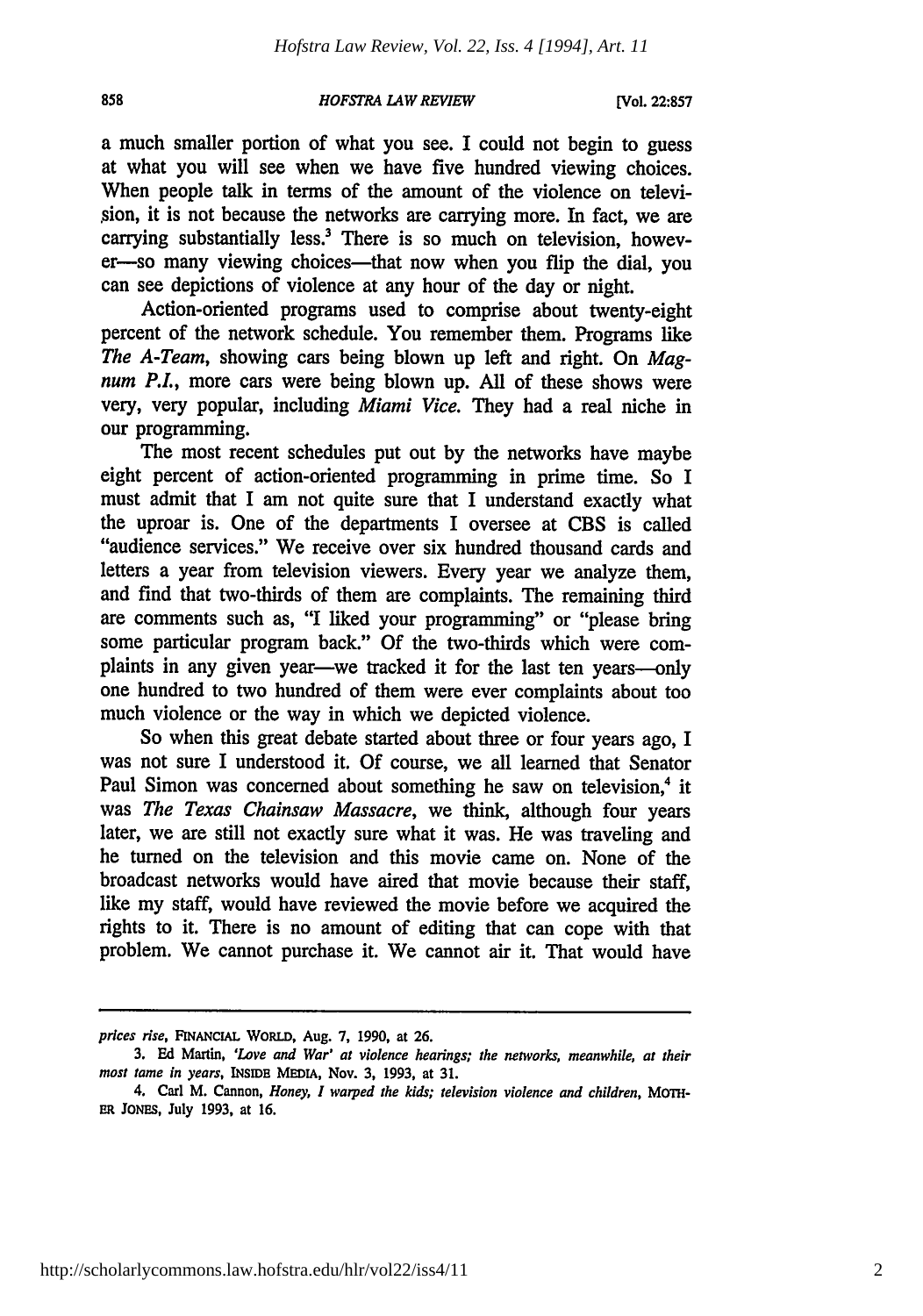#### *HOFSTRA LAW REVIEW*

a much smaller portion of what you see. I could not begin to guess at what you will see when we have five hundred viewing choices. When people talk in terms of the amount of the violence on televi sion, it is not because the networks are carrying more. In fact, we are carrying substantially less.<sup>3</sup> There is so much on television, however-so many viewing choices-that now when you flip the dial, you can see depictions of violence at any hour of the day or night.

Action-oriented programs used to comprise about twenty-eight percent of the network schedule. You remember them. Programs like *The A-Team,* showing cars being blown up left and right. On *Magnum P.L,* more cars were being blown up. **All** of these shows were very, very popular, including *Miami Vice.* They had a real niche in our programming.

The most recent schedules put out **by** the networks have maybe eight percent of action-oriented programming in prime time. So I must admit that I am not quite sure that I understand exactly what the uproar is. One of the departments I oversee at CBS is called "audience services." We receive over six hundred thousand cards and letters a year from television viewers. Every year we analyze them, and find that two-thirds of them are complaints. The remaining third are comments such as, "I liked your programming" or "please bring some particular program back." Of the two-thirds which were complaints in any given year—we tracked it for the last ten years—only one hundred to two hundred of them were ever complaints about too much violence or the way in which we depicted violence.

So when this great debate started about three or four years ago, I was not sure I understood it. Of course, we all learned that Senator Paul Simon was concerned about something he saw on television,<sup>4</sup> it was *The Texas Chainsaw Massacre,* we think, although four years later, we are still not exactly sure what it was. He was traveling and he turned on the television and this movie came on. None of the broadcast networks would have aired that movie because their staff, like my staff, would have reviewed the movie before we acquired the rights to it. There is no amount of editing that can cope with that problem. We cannot purchase it. We cannot air it. That would have

*prices rise,* **FINANCIAL WORLD,** Aug. **7, 1990,** at **26.**

**<sup>3.</sup> Ed** Martin, *'Love and War' at violence hearings; the networks, meanwhile, at their* most *tame in years,* **INSIDE MEDIA,** Nov. **3, 1993,** at **31.**

<sup>4.</sup> Carl M. Cannon, *Honey, I warped the kids; television violence and children, MOTH-***ER JONEs,** July **1993,** at **16.**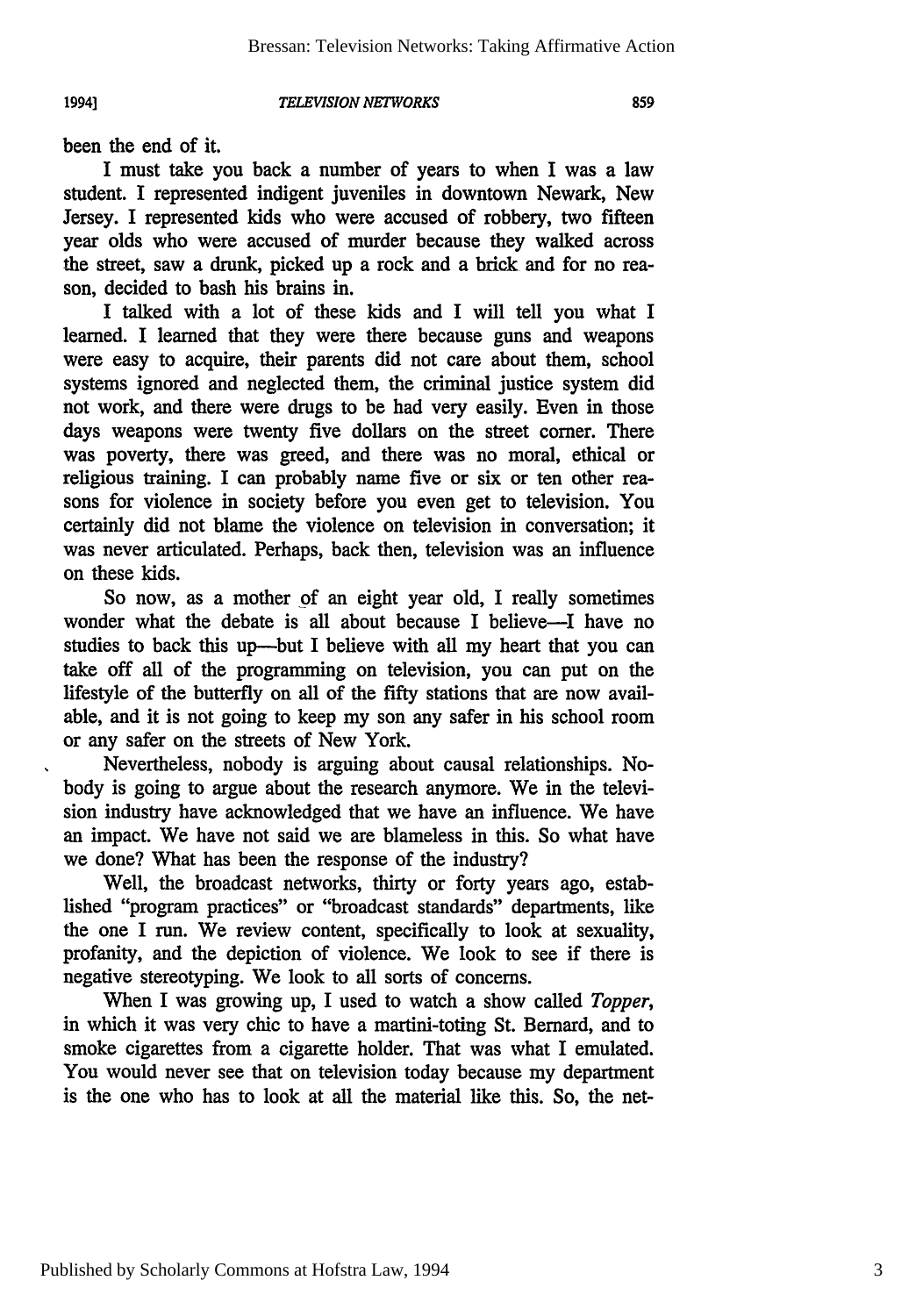*TELEVISION NETWORKS*

been the end of it.

**19941**

I must take you back a number of years to when I was a law student. I represented indigent juveniles in downtown Newark, New Jersey. I represented kids who were accused of robbery, two fifteen year olds who were accused of murder because they walked across the street, saw a drunk, picked up a rock and a brick and for no reason, decided to bash his brains **in.**

I talked with a lot of these kids and **I** will tell you what I learned. I learned that they were there because guns and weapons were easy to acquire, their parents did not care about them, school systems ignored and neglected them, the criminal justice system did not work, and there were drugs to be had very easily. Even in those days weapons were twenty five dollars on the street comer. There was poverty, there was greed, and there was no moral, ethical or religious training. I can probably name five or six or ten other reasons for violence in society before you even get to television. You certainly did not blame the violence on television in conversation; it was never articulated. Perhaps, back then, television was an influence on these kids.

So now, as a mother of an eight year old, I really sometimes wonder what the debate is all about because I believe—I have no studies to back this up-but I believe with all my heart that you can take off all of the programming on television, you can put on the lifestyle of the butterfly on all of the fifty stations that are now available, and it is not going to keep my son any safer in his school room or any safer on the streets of New York.

Nevertheless, nobody is arguing about causal relationships. Nobody is going to argue about the research anymore. We in the television industry have acknowledged that we have an influence. We have an impact. We have not said we are blameless in this. So what have we done? What has been the response of the industry?

Well, the broadcast networks, thirty or forty years ago, established "program practices" or "broadcast standards" departments, like the one I run. We review content, specifically to look at sexuality, profanity, and the depiction of violence. We look to see if there is negative stereotyping. We look to all sorts of concerns.

When I was growing up, I used to watch a show called *Topper,* in which it was very chic to have a martini-toting St. Bernard, and to smoke cigarettes from a cigarette holder. That was what I emulated. You would never see that on television today because my department is the one who has to look at all the material like this. So, the net-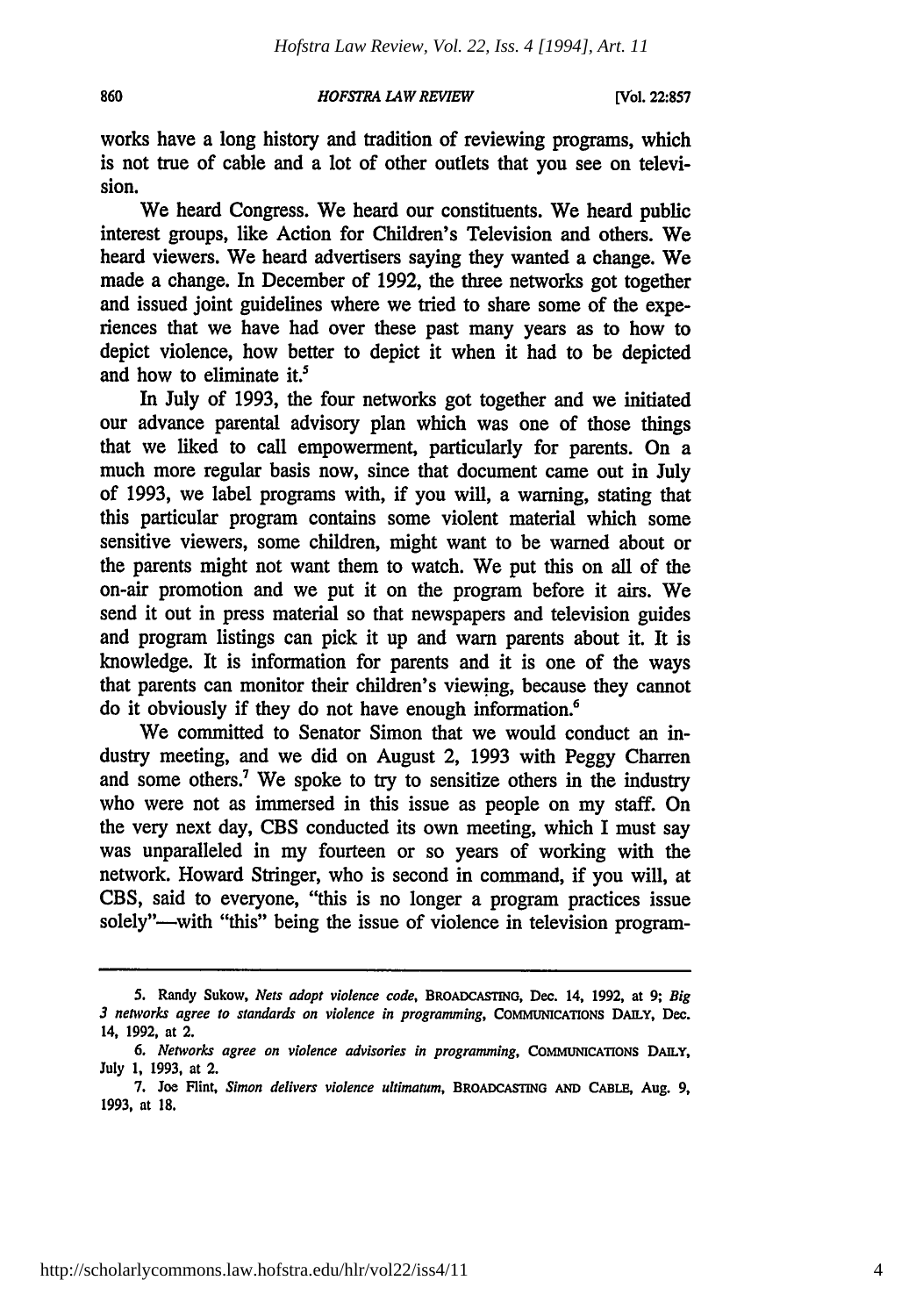#### 860

#### *HOFSTRA LAW REVIEW*

works have a long history and tradition of reviewing programs, which is not true of cable and a lot of other outlets that you see on television.

We heard Congress. We heard our constituents. We heard public interest groups, like Action for Children's Television and others. We heard viewers. We heard advertisers saying they wanted a change. We made a change. In December of 1992, the three networks got together and issued joint guidelines where we tried to share some of the experiences that we have had over these past many years as to how to depict violence, how better to depict it when it had to be depicted and how to eliminate it.'

In July of 1993, the four networks got together and we initiated our advance parental advisory plan which was one of those things that we liked to call empowerment, particularly for parents. On a much more regular basis now, since that document came out in July of 1993, we label programs with, if you will, a warning, stating that this particular program contains some violent material which some sensitive viewers, some children, might want to be warned about or the parents might not want them to watch. We put this on all of the on-air promotion and we put it on the program before it airs. We send it out in press material so that newspapers and television guides and program listings can pick it up and warn parents about it. It is knowledge. It is information for parents and it is one of the ways that parents can monitor their children's viewing, because they cannot do it obviously if they do not have enough information.<sup>6</sup>

We committed to Senator Simon that we would conduct an industry meeting, and we did on August 2, 1993 with Peggy Charren and some others.<sup>7</sup> We spoke to try to sensitize others in the industry who were not as immersed in this issue as people on my staff. On the very next day, CBS conducted its own meeting, which I must say was unparalleled in my fourteen or so years of working with the network. Howard Stringer, who is second in command, if you will, at CBS, said to everyone, "this is no longer a program practices issue solely"—with "this" being the issue of violence in television program-

**<sup>5.</sup>** Randy Sukow, *Nets adopt violence code,* BROADCASTING, Dec. 14, **1992,** at **9;** *Big 3* networks *agree to standards on violence in programming,* **COMMUNICATIONS** DAILY, Dec. 14, 1992, at 2.

*<sup>6.</sup> Networks agree on violence advisories in programming,* COMMUNICATIONS DAILY, July **1,** 1993, at 2.

<sup>7.</sup> Joe Flint, *Simon delivers violence ultimatum,* BROADCASTING **AND CABLE,** Aug. 9, 1993, at **18.**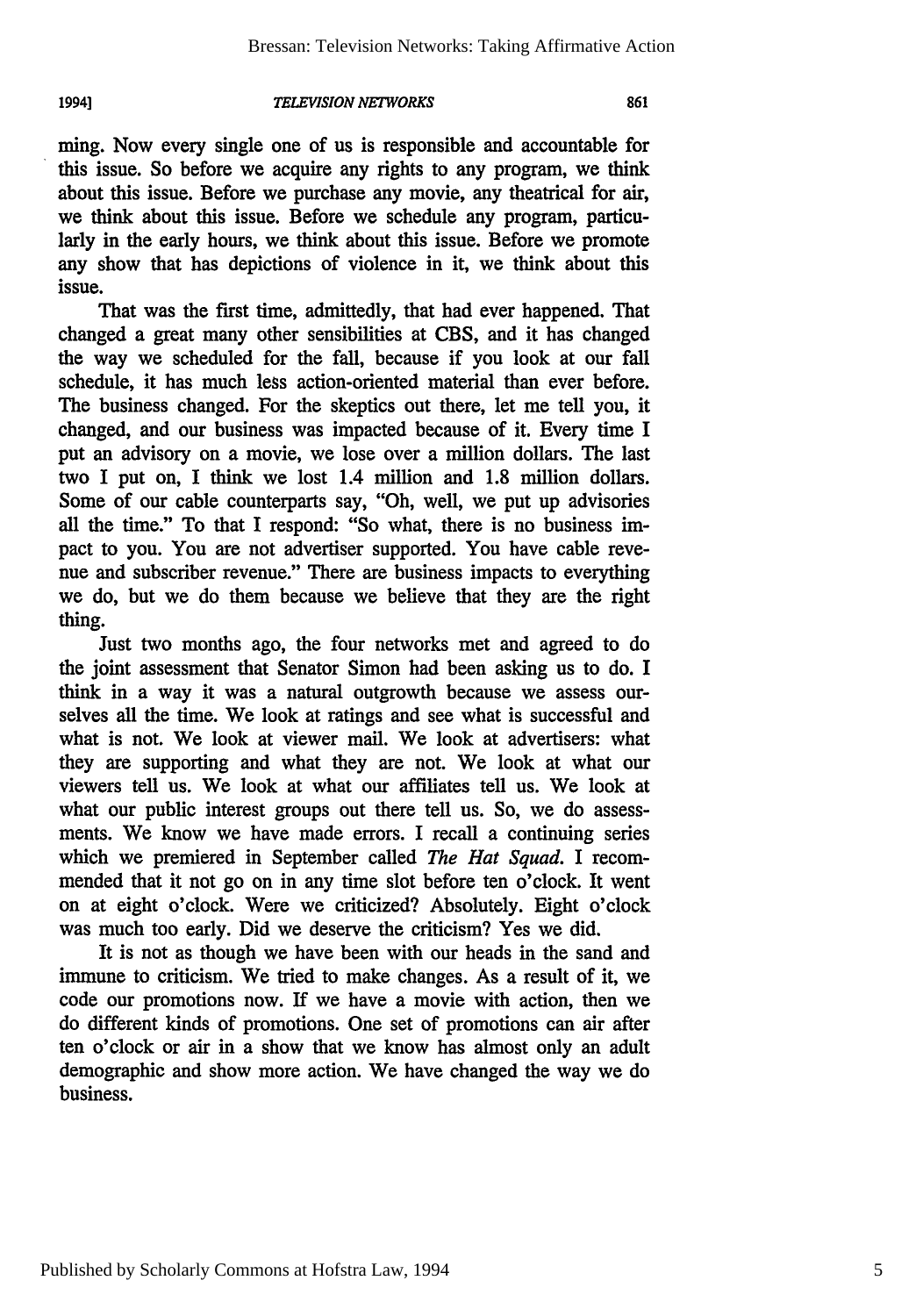#### **19941**

#### *TELEVISION NETWORKS*

ming. Now every single one of us is responsible and accountable for this issue. So before we acquire any rights to any program, we think about this issue. Before we purchase any movie, any theatrical for air, we think about this issue. Before we schedule any program, particularly in the early hours, we think about this issue. Before we promote any show that has depictions of violence in it, we think about this issue.

That was the first time, admittedly, that had ever happened. That changed a great many other sensibilities at CBS, and it has changed the way we scheduled for the fall, because if you look at our fall schedule, it has much less action-oriented material than ever before. The business changed. For the skeptics out there, let me tell you, it changed, and our business was impacted because of it. Every time I put an advisory on a movie, we lose over a million dollars. The last two I put on, I think we lost 1.4 million and 1.8 million dollars. Some of our cable counterparts say, "Oh, well, we put up advisories all the time." To that I respond: "So what, there is no business impact to you. You are not advertiser supported. You have cable revenue and subscriber revenue." There are business impacts to everything we do, but we do them because we believe that they are the right thing.

Just two months ago, the four networks met and agreed to do the joint assessment that Senator Simon had been asking us to do. I think in a way it was a natural outgrowth because we assess ourselves all the time. We look at ratings and see what is successful and what is not. We look at viewer mail. We look at advertisers: what they are supporting and what they are not. We look at what our viewers tell us. We look at what our affiliates tell us. We look at what our public interest groups out there tell us. So, we do assessments. We know we have made errors. I recall a continuing series which we premiered in September called *The Hat Squad.* I recommended that it not go on in any time slot before ten o'clock. It went on at eight o'clock. Were we criticized? Absolutely. Eight o'clock was much too early. Did we deserve the criticism? Yes we did.

It is not as though we have been with our heads in the sand and immune to criticism. We tried to make changes. As a result of it, we code our promotions now. If we have a movie with action, then we do different kinds of promotions. One set of promotions can air after ten o'clock or air in a show that we know has almost only an adult demographic and show more action. We have changed the way we do business.